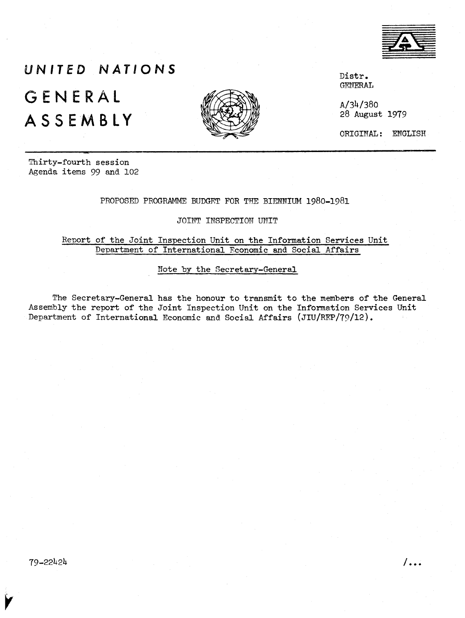

# **UNITED NATIONS GENERAL ASSEMBLY**



Distr. GENERAL

A/34/380 28 August 1979

ORIGINAL: ENGLISH

Thirty-fourth session Agenda items 99 and 102

#### PROPOSED PROGRAMME BUDGET FOR THE BIENNIUM 1980-1981

JOINT INSPECTION UNIT

#### Report of the Joint Inspection Unit on the Information Services Unit Department of International Economic and Social Affairs

Note by the Secretary-General

The Secretary-General has the honour to transmit to the members of the General Assembly the report of the Joint Inspection Unit on the Information Services Unit Department of International Economic and Social Affairs (JIU/REP/79/12).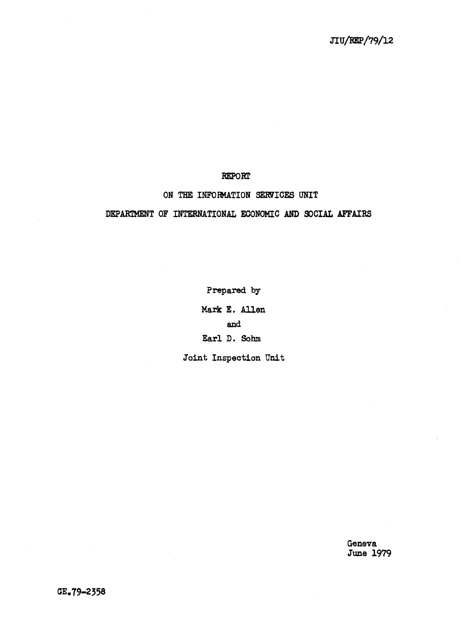#### REPORt'

# ON THE INFORMATION SERVICES UNIT

# DEPARTMENT OF INTERNATIONAL ECONOMIC AND SOCIAL AFFAIRS

Prepared by

Mark E. Allen and Earl D. Sohm

Joint Inspection Unit

Geneva June 1979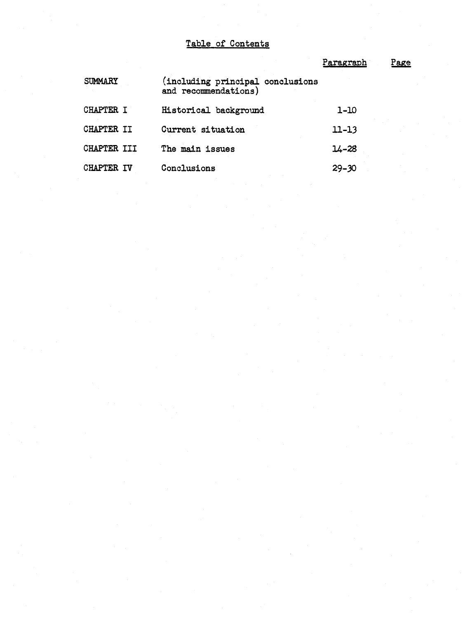# Table of Contents

|                      |                                                          | Paragraph | <u>Page</u> |
|----------------------|----------------------------------------------------------|-----------|-------------|
| <b>SUMMARY</b>       | (including principal conclusions<br>and recommendations) |           |             |
| <b>CHAPTER</b><br>т  | Historical background                                    | $1 - 10$  |             |
| CHAPTER II           | Current situation                                        | $11 - 13$ |             |
| CHAPTER III          | The main issues                                          | $14 - 28$ |             |
| <b>CHAPTER</b><br>TV | Conclusions                                              | $29 - 30$ |             |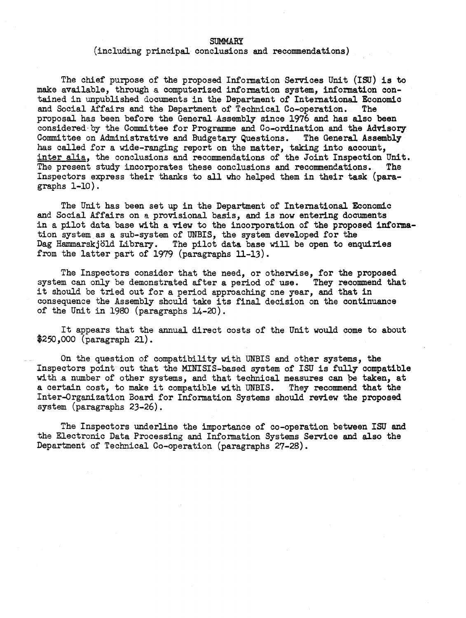#### **SUMMARY**

(including principal conclusions and recommendations)

The chief purpose of the proposed Information Services Unit (ISU) is to make available, through a computerized information system, information contained in unpublished documents in the Department of International Economic and Social Affairs and the Department of Technical Co-operation. The and Social Affairs and the Department of Technical Co-operation. proposal has been before the General Assembly since 1976 and has also been considered·by the Committee for Programme and Co-ordination and the Advisory Committee on Administrative and Budgetary Questions. The General Assembly has called for a wide-ranging report on the matter, taking into account, inter alia, the conclusions and recommendations of the Joint Inspection Unit. The present study incorporates these conclusions and recommendations. The Inspectors express their thanks to all who helped them in their task (paragraphs 1-10).

The Unit has been set up in the Department of International Economic and Social Affairs on a provisional basis, and is now entering documents in a pilot data base with a view to the incorporation of the proposed information system.as a sub-system of UNBIS, the system developed for the Dag Hammarskjold Library. The pilot data base will be open to enquiries from the latter part of 1979 (paragraphs ll-13).

The Inspectors consider that the need, or otherwise, for the proposed system can only be demonstrated after a period of use. They recommend that it should be tried out for <sup>a</sup> period approaching one year, and that in consequence the Assembly should take its final decision on the continuance of the Unit in 1980 (paragraphs 14-20).

It appears that the annual direct costs of the Unit would come to about \$250,000 (paragraph 21).

On the question of compatibility with UNBIS and other systems, the Inspectors point out that the MINISIS-based system of ISU is fully compatible with a number of other systems, and that technical measures can be taken, at a certain cost, to make it compatible with UNBIS. They recommend that the Inter-Qrganization Board for Information Systems should review the proposed system (paragraphs 23-26).

The Inspectors underline the importance of co-operation between ISU and the Electronic Data Processing and Information Systems Service and also the Department of Technical Co-operation (paragraphs 27-28).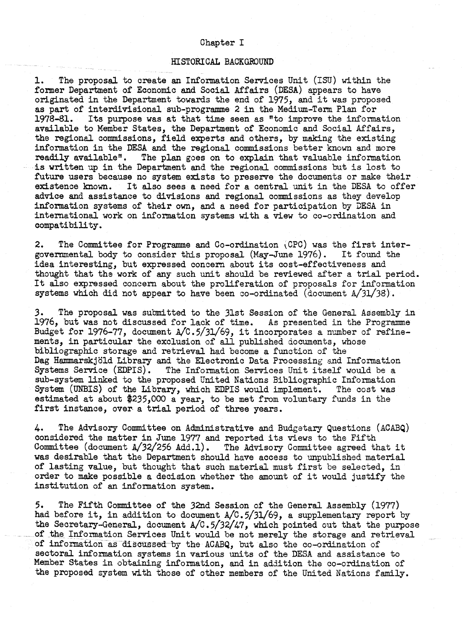#### Chapter I

#### HISTORICAL BACKGROUND

1. The proposal to create an Information Services Unit (ISU) within the former Department of Economic and Social Affairs (DESA) appears to have originated in the Department towards the end of 1975, and it was proposed as part of interdivisional sub-programme 2 in the Medium-Term Plan for Its purpose was at that time seen as "to improve the information available to Member States, the Department of Economic and Social Affairs, the regional commissions, field experts and others, by making the existing information in the DESA and the regional commissions better known and more readily available". The plan goes on to explain that valuable information The plan goes on to explain that valuable information is written up in the Department and the regional commissions but is lost to future users because no system exists to preserve the documents or make their existence known. It also sees a need for a central unit in the DESA to offer It also sees a need for a central unit in the DESA to offer advice and assistance to divisions and regional commissions as they develop information systems of their own, and a need for participation by DESA in international work on information systems with a view to co-ordination and compatibility.

2. The Committee for Programme and Co-ordination (CPC) was the first intergovernmental body to consider this proposal (May-June 1976). It found the idea interesting, but expressed concern about its cost-effectiveness and thought that the work of any such unit should be reviewed after a trial period. It also expressed concern about the proliferation of proposals for information systems which did not appear to have been co-ordinated (document A/3l/38).

3. The proposal was submitted to the 31st Session of the General Assembly in 1976, but was not discussed for lack of time. As presented in the Programme Budget for 1976-77, document A/C.5/31/69, it incorporates <sup>a</sup> number of refinements, in particular the exclusion of all published documents, whose bibliographic storage and retrieval had become a function of the Dag Hammarskjöld Library and the Electronic Data Processing and Information Systems Service (EDPIS). The Information Services Unit itself would be a sub-system linked to the proposed United Nations Bibliographic Information System (UNBIS) of the Library, which EDPIS would implement. The cost was estimated at about \$235,000 a year, to be met from voluntary funds in the first instance, over a trial period of three years.

4. The Advisory Committee on Administrative and Budgetary Questions (ACABQ) considered the matter in June <sup>1977</sup> and reported its views to the Fifth Committee (document  $A/32/256$  Add.1). The Advisory Committee agreed that it was desirable that the Department should have access to unpublished material of lasting value, but thought that such material must first be selected, in order to make possible <sup>a</sup> decision whether the amount of it would justify the institution of an information system.

5. The Fifth Committee of the 32nd Session of the General Assembly (1977) had before it, in addition to document  $A/C.5/31/69$ , a supplementary report by the Secretary-General, document A/C.5/32/47, which pointed out that the purpose of the Information Services Unit would be not merely the storage and retrieval of information as discussed by the ACABQ, but also the co-ordination of sectoral information systems in various units of the DESA and assistance to Member States in obtaining information, and in addition the co-ordination of the proposed system with those of other members of the United Nations family.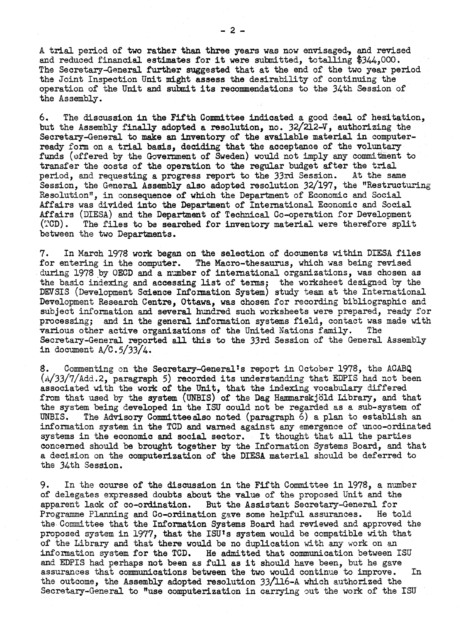A trial period of two rather than three years was now envisaged, and revised and reduced financial estimates for it were submitted, totalling \$344,000. The Secretary-General further suggested that at the end of the two year period the Joint Inspection Unit might assess the desirability of continuing the operation of the Unit and submit its recommendations to the 34th Session of the Assembly.

6. The discussion in the Fifth Committee indicated a good deal of hesitation, but the Assembly finaJ.ly adopted a resolution, no. *32/212-V,* authorizing the Secretary-General to make an inventory of the available material in computerready form on a trial basis, deciding that the acceptance of the voluntary funds (offered by the Government of Sweden) would not imply any commitment to transfer the costs of the operation to the regular budget after the trial period. and requesting a progress report to the 33rd Session. At the same period, and requesting a progress report to the 33rd Session. Session, the General Assembly also adopted resolution 32/197, the "Restructuring Resolution", in consequence of which the Department of Economic and Social Affairs was divided into the Department of International Economic and Social Affairs (DIESA) and the Department of Technical Co-operation for Development (TCD). The files to be searched for inventory material were therefore split The files to be searched for inventory material were therefore split between the two Departments.

7. In March 1978 work began on the selection of documents within DIESA files for entering in the computer. The Macro-thesaurus, which was being revised during 1978.by OECD and a number of international organizations, was chosen as the basic indexing and accessing list of terms; the worksheet designed by the DEVSIS (Development Science Information System) study team at the International Development Research Centre, Ottawa, was chosen for recording bibliographic and subject information and several hundred such worksheets were prepared, ready for processing; and in the general information systems field, contact was made with various other active organizations of the United Nations family. The various other active organizations of the United Nations family. Secretary-General reported all this to the 33rd Session of the General Assembly in document  $A/C.5/33/4$ .

8. Commenting on the Secretary-General's report in October 1978, the ACABQ  $(A/33/7/Add.2,$  paragraph 5) recorded its understanding that EDPIS had not been associated with the work of the Unit, that the indexing vocabulary differed from that used by the system (UNBIS) of the Dag Hammarskjöld Library, and that the system being developed in the ISU could not be regarded as a sub-system of UNBIS. The Advisory Committee also noted (paragraph  $6$ ) a plan to establish an The Advisory Committee also noted (paragraph 6) a plan to establish an information system in the TCD and warned against any emergence of unco-ordinated systems in the economic and social sector. It thought that all the parties concerned should be brought together by the Information Systems Board, and that a decision on the computerization of the DIESA material should be deferred to the 34th Session.

9. In the course of the discussion in the Fifth Committee in 1978, a number of delegates expressed doubts about the value of the proposed Unit and the apparent lack of co-ordination. But the Assistant Secretary-General for<br>Programme Planning and Co-ordination gave some helpful assurances. He told Programme Planning and Co-ordination gave some helpful assurances. the· Committee that the Information Systems Board had reviewed and approved the proposed system in 1977, that the ISUts system would be compatible with that of the Library and that there would be no duplication with any work on an information system for the TCD. He admitted that communication between I He admitted that communication between ISU and EDPIS had perhaps not been as full as it should have been, but he gave assurances that communications between the two would continue to improve. In the outcome, the Assembly adopted resolution 33/116-A which authorized the Secretary-General to "use computerization in carrying out the work of the ISU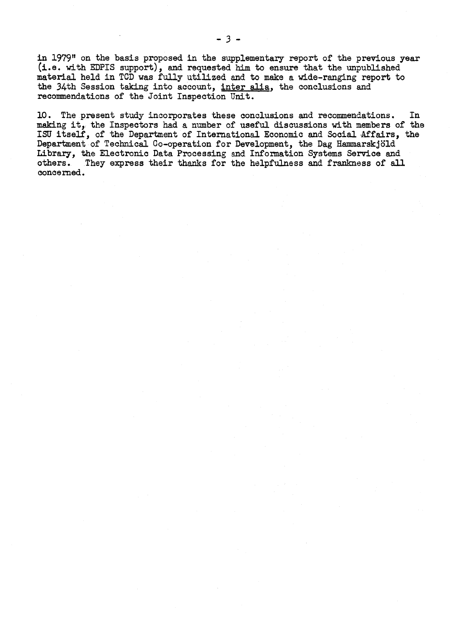in 1979" on the basis proposed in the supplementary report of the previous year (i.e. with EDPIS support), and requested him to ensure that the unpublished material held in TGD was fully utilized and to make a wide-ranging report to the 34th Session taking into account, inter alia, the conclusions and recommendations of the Joint Inspection Unit.

10. The present study incorporates these conclusions and recommendations. In making it, the Inspectors had <sup>a</sup> number of useful discussions with members of the ISU itself, of the Department of International Economic and Social Affairs, the Department of Technical Co-operation for Development, the Dag Hammarskjöld Library, the Electronic Data Processing and Information Systems Service and others. They express their thanks for the helpfulness and frankness of all concerned.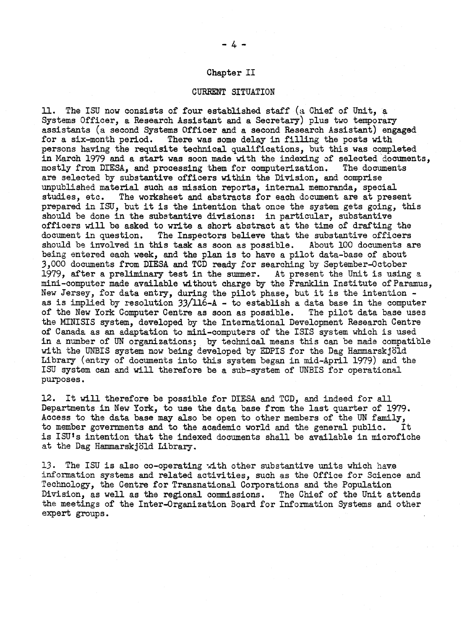#### Chapter II

#### CURRENT SITUATION

ll. The ISU now consists of four established staff (a Chief of Unit, <sup>a</sup> Systems Officer, a Research Assistant and a Secretary) plus two temporary assistants (a second Systems Officer and a second Research Assistant) engaged for a six-month period. There was some delay in filling the posts with persons having the requisite technical qualifications, but this was completed in March 1979 and a start was soon made with the indexing of selected documents,<br>mostly from DIESA, and processing them for computerization. The documents mostly from DIESA, and processing them for computerization. are selected by substantive officers within the Division, and comprise unpublished material such as mission reports, internal memoranda, special studies, etc. The worksheet and abstracts for each document are at present prepared in ISU, but it is the intention that once the system gets going, this should be done in the substantive divisions: in particular, substantive officers will be asked to write a short abstract at the time of drafting the document in question. The Inspectors believe that the substantive officers The Inspectors believe that the substantive officers should be involved in this task as soon as possible. About 100 documents are being entered each week, and the plan is to have <sup>a</sup> pilot data-base of about 3,000 documents from DIESA and TCD ready for searching by' September-Qctober 1979, after a preliminary test in the summer. At present the Unit is using a mini-computer made available without charge by the Franklin Institute of Paramus, New Jersey, for data entry, during the pilot phase, but it is the intention as is implied by resolution  $33/116-A$  - to establish a data base in the computer of the New York Computer Centre as soon as possible. The pilot data base uses the MINISIS system, developed by the International Development Research Centre of Canada as an adaptation to mini-computers of the ISIS system which is used in a number of UN organizations; by technical means this can be made compatible with the UNBIS system now being developed by EDPIS for the Dag Hammarskjöld Library (entry of documents into this system began in mid-April 1979) and the ISU system can and will therefore be a SUb-system of UNBIS for operational purposes.

12. It will therefore be possible for DIESA and TCD, and indeed for all Departments in New York, to use the data base from the last quarter of 1979. Access to the data base may also be open to other members of the UN family, to member governments and to the academic world and the general public. It is ISU's intention that the indexed documents shall be available in microfiche at the Dag Hammarskjold Library.

13. The ISU is also co-operating with other substantive units which have information systems and related activities, such as the Office for Science and Technology, the Centre for Transnational Corporations and the Population Division, as well as the regional commissions. The Chief of the Unit attends the meetings of the Inter-Qrganization Board for Information Systems and other expert groups.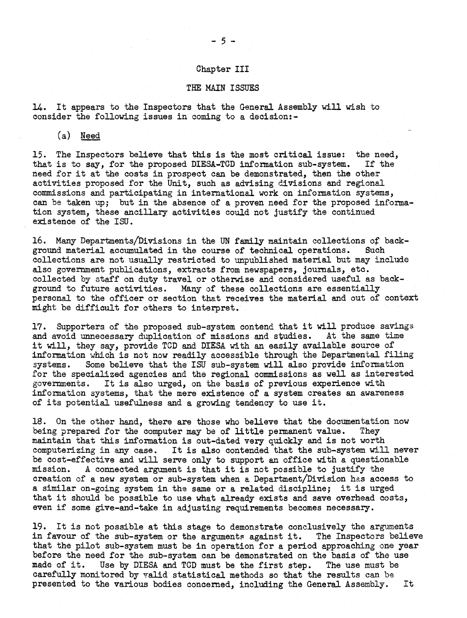#### Chapter III

#### THE MAIN ISSUES

14. It appears to the Inspectors that the General Assembly will wish to consider the following issues in coming to a decision:-

Ca) Need

15. The Inspectors believe that this is the most critical issue: the need, that is to say. for the proposed DIESA-TCD information sub-system. If the that is to say, for the proposed DIESA-TCD information sub-system. need for it at the costs in prospect can be demonstrated, then the other activities proposed for the Unit, such as advising divisions and regional commissions and participating in international work on information systems, can be taken up; but in the absence of a proven need for the proposed information system, these ancillary activities could not justify the continued existence of the lSU.

16. Many Departments/Divisions in the UN family maintain collections of background material accumulated in the course of technical operations. Such collections are not usually restricted to unpublished material but may include also government publications, extracts from newspapers, journals, etc. collected by staff on duty travel or otherwise and considered useful as background to future activities. Many of these collections are essentially personal to the officer or section that receives the material and out of context might be difficult for others to interpret.

17. Supporters of the proposed sub-system contend that it will produce savings and avoid unnecessary duplication of missions and studies. At the same time it will, they say, provide TCD and DIESA with an easily available source of information which is not now readily accessible through the Departmental filing systems. Some believe that the ISU sub-system will also provide information for the specialized agencies and the regional commissions as well as interested governments. It is also urged, on the basis of previous experience with information systems, that the mere existence of a system creates an awareness of its potential usefulness and <sup>a</sup> growing tendency to use it.

18. On the other hand, there are those who believe that the documentation now being prepared for the computer may be of little permanent value. They maintain that this information is out-dated very quickly and is not worth computerizing in any case. It is also contended that the sub-system will never be cost-effective and will serve only to support an office with a questionable mission. <sup>A</sup> connected argument is that it is not possible to justify the creation of a new system or sub-system when a Department/Division has access to <sup>a</sup> similar on-going system in the same or <sup>a</sup> related discipline; it is urged that it should be possible to use what already exists and save overhead costs, even if some give-and-take in adjusting requirements becomes necessary.

19. It is not possible at this stage to demonstrate conclusively the arguments in favour of the sub-system or the arguments against it. The Inspectors believe in favour of the sub-system or the arguments against it. that the pilot sub-system must be in operation for a period approaching one year before the need for the sub-system can be demonstrated on the basis of the use made of it. Use by DIESA and TCD must be the first step. The use must be Use by DIESA and TCD must be the first step. The use must be carefully monitored by valid statistical methods so that the results can be presented to the various bodies concerned, including the General Assembly. It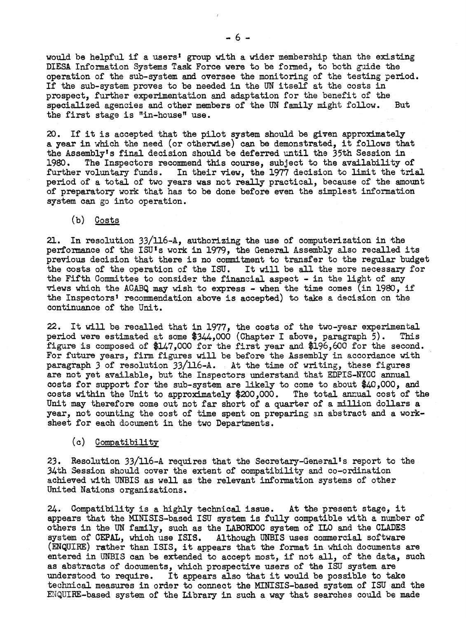would be helpful if a users' group with a wider membership than the existing DIESA Information Systems Task Force were to be formed, to both guide the operation of the sUb-system and oversee the monitoring of the testing period. If the sub-system proves to be needed in the UN itself at the costs in prospect, further experimentation and adaptation for the benefit of the specialized agencies and other members of the UN family might follow. But the first stage is "in-house" use.

20. If it is accepted that the pilot system should be given approximately <sup>a</sup> year in which the need (or otherwise) can be demonstrated, it follows that the Assembly's final decision should be deferred until the 35th Session in 1980. The Inspectors recommend this course, subject to the availability of further voluntary funds. In their view, the 1977 decision to limit the trial period of a total of two years was not really practical, because of the amount of preparatory work that has to be done before even the simplest information system can go into operation.

(b) Costs

21. In resolution 33/ll6-A, authorizing the use of computerization in the performance of the lSU's work in 1979, the General Assembly also recalled its previous decision that there is no commitment to transfer to the regular budget the costs of the operation of the ISU. It will be all the more necessary for the Fifth Committee to consider the financial aspect - in the light of any views which the ACABQ may wish to express - when the time comes (in 1980, if the Inspectors' recommendation above is accepted) to take a decision on the continuance of the Unit.

22. It will be recalled that in 1977, the costs of the two-year experimental period were estimated at some  $$3/4.000$  (Chapter I above, paragraph 5). This period were estimated at some  $$344,000$  (Chapter I above, paragraph 5). figure is composed of  $$147,000$  for the first year and  $$196,600$  for the second. For future years, firm figures will be before the Assembly in accordance with paragraph 3 of resolution  $33/116-A.$  At the time of writing, these figures are not yet available, but the Inspectors understand that EDPIS-NYCC annual costs for support for the sub-system are likely to come to about \$40 ,000, and costs within the Unit to approximately \$200,000. The total annual cost of the Unit may therefore come out not far short of a quarter of a million dollars a year, not counting the cost of time spent on preparing an abstract and a worksheet for each document in the two Departments.

(c) Compatibility

23. Resolution  $33/116$ -A requires that the Secretary-General's report to the 34th Session should cover the extent of compatibility and co-ordination achieved with UNBIS as well as the relevant information systems of other United Nations organizations.

24. Compatibility is <sup>a</sup> highly technical issue. At the present stage, it appears that the MINISIS-based lSU system is fully compatible with <sup>a</sup> number of others in the UN family, such as the LABORDOC system of ItO and the CLADES system of CEPAL, which use ISIS. Although UNBIS uses commercial software (ENQUIRE) rather than ISIS, it appears that the format in which documents are entered in UNBIS can be extended to accept most, if not all, of the data, such as abstracts of documents, which prospective users of the lSU system are understood to require. It appears also that it would be possible to take technical measures in order to connect the MINISIS-based system of ISU and the ENQUIRE-based system of the Library in such a way that searches could be made

 $- 6 -$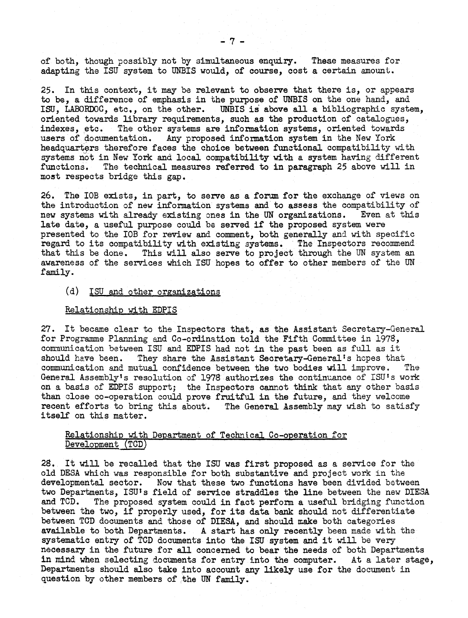of both, though possibly not by simultaneous enquiry. These measures for adapting the ISU system to UNBIS would, of course, cost a certain amount.

25. In this context, it may be relevant to observe that there is, or appears to be, a difference of emphasis in the purpose of UNBIS on the one hand, and lSU, LABORDOC, etc., on the other. UNBIS is above all a bibliographic system, oriented towards library requirements, such as the production of catalogues, indexes, etc. The other systems are information systems, oriented towards The other systems are information systems, oriented towards users of documentation. Any proposed information system in the New York headquarters therefore faces the choice between functional compatibility with systems not in New York and local compatibility with a system having different functions. The technical measures referred to in paragraph 25 above will in The technical measures referred to in paragraph 25 above will in most respects bridge this gap.

26. The lOB exists, in part, to serve as a forum for the exchange of views on the introduction of new information systems and to assess the compatibility of new systems with already existing ones in the UN organizations. Even at this new systems with already existing ones in the UN organizations. late date, <sup>a</sup> useful purpose could be served if the proposed system were presented to the lOB for review and comment, both generally and with specific regard to its compatibility with existing systems. The Inspectors recommend that this be done. This will also serve to project through the UN system an awareness of the services which ISU hopes to offer to other members of the UN family.

#### (d) ISU and other organizations

#### Relationship with EDPIS

27. It became clear to the Inspectors that, as the Assistant Secretary-General for Programme Planning and Co-ordination told the Fifth Committee in 1978, communication between ISU and EDPIS had not in the past been as full as it should have been. They share the Assistant Secretary-General's hopes that They share the Assistant Secretary-General's hopes that communication and mutual confidence between the two bodies will improve. The General Assembly's resolution of 1978 authorizes the continuance of ISU's work on. a basis of EDPIS support; the Inspectors cannot think that any other basis than close co-operation could prove fruitful in the future, and they welcome recent efforts to bring this about. The General Assembly may wish to satisfy itself on this matter.

### Relationship with Department of Technical Co-operation for Development (TCD)

28. It will be recalled that the ISU was first proposed as a service for the old DESA which was responsible for both substantive and project work in the developmental sector. Now that these two functions have been divided between two Departments, ISU's field of service straddles the line between the new DIESA and TCD. The proposed system could in fact perform a useful bridging function between the two, if properly used, for its data bank should not differentiate between TCD documents and those of DIESA, and should make both categories available to both Departments. A start has only recently been made with the systematic entry of TCD documents into the lSU system and it will be very necessary in the future for all concerned to bear the needs of both Departments in mind when selecting documents for entry into the computer. At a later stage, Departments should also take into account any likely use for the document in question by other members of the UN family.